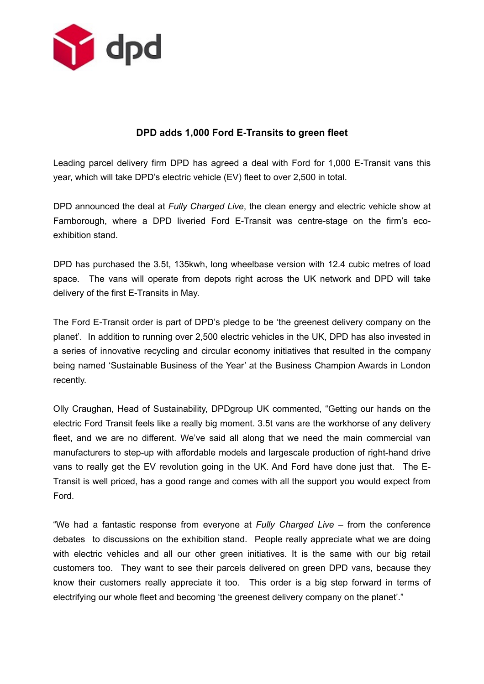

# **DPD adds 1,000 Ford E-Transits to green fleet**

Leading parcel delivery firm DPD has agreed a deal with Ford for 1,000 E-Transit vans this year, which will take DPD's electric vehicle (EV) fleet to over 2,500 in total.

DPD announced the deal at *Fully Charged Live*, the clean energy and electric vehicle show at Farnborough, where a DPD liveried Ford E-Transit was centre-stage on the firm's ecoexhibition stand.

DPD has purchased the 3.5t, 135kwh, long wheelbase version with 12.4 cubic metres of load space. The vans will operate from depots right across the UK network and DPD will take delivery of the first E-Transits in May.

The Ford E-Transit order is part of DPD's pledge to be 'the greenest delivery company on the planet'. In addition to running over 2,500 electric vehicles in the UK, DPD has also invested in a series of innovative recycling and circular economy initiatives that resulted in the company being named 'Sustainable Business of the Year' at the Business Champion Awards in London recently.

Olly Craughan, Head of Sustainability, DPDgroup UK commented, "Getting our hands on the electric Ford Transit feels like a really big moment. 3.5t vans are the workhorse of any delivery fleet, and we are no different. We've said all along that we need the main commercial van manufacturers to step-up with affordable models and largescale production of right-hand drive vans to really get the EV revolution going in the UK. And Ford have done just that. The E-Transit is well priced, has a good range and comes with all the support you would expect from Ford.

"We had a fantastic response from everyone at *Fully Charged Live* – from the conference debates to discussions on the exhibition stand. People really appreciate what we are doing with electric vehicles and all our other green initiatives. It is the same with our big retail customers too. They want to see their parcels delivered on green DPD vans, because they know their customers really appreciate it too. This order is a big step forward in terms of electrifying our whole fleet and becoming 'the greenest delivery company on the planet'."